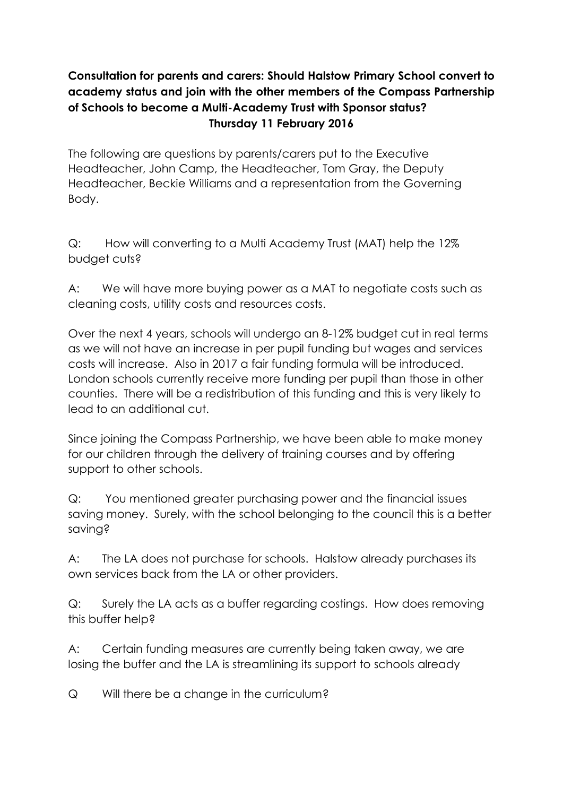## **Consultation for parents and carers: Should Halstow Primary School convert to academy status and join with the other members of the Compass Partnership of Schools to become a Multi-Academy Trust with Sponsor status? Thursday 11 February 2016**

The following are questions by parents/carers put to the Executive Headteacher, John Camp, the Headteacher, Tom Gray, the Deputy Headteacher, Beckie Williams and a representation from the Governing Body.

Q: How will converting to a Multi Academy Trust (MAT) help the 12% budget cuts?

A: We will have more buying power as a MAT to negotiate costs such as cleaning costs, utility costs and resources costs.

Over the next 4 years, schools will undergo an 8-12% budget cut in real terms as we will not have an increase in per pupil funding but wages and services costs will increase. Also in 2017 a fair funding formula will be introduced. London schools currently receive more funding per pupil than those in other counties. There will be a redistribution of this funding and this is very likely to lead to an additional cut.

Since joining the Compass Partnership, we have been able to make money for our children through the delivery of training courses and by offering support to other schools.

Q: You mentioned greater purchasing power and the financial issues saving money. Surely, with the school belonging to the council this is a better saving?

A: The LA does not purchase for schools. Halstow already purchases its own services back from the LA or other providers.

Q: Surely the LA acts as a buffer regarding costings. How does removing this buffer help?

A: Certain funding measures are currently being taken away, we are losing the buffer and the LA is streamlining its support to schools already

Q Will there be a change in the curriculum?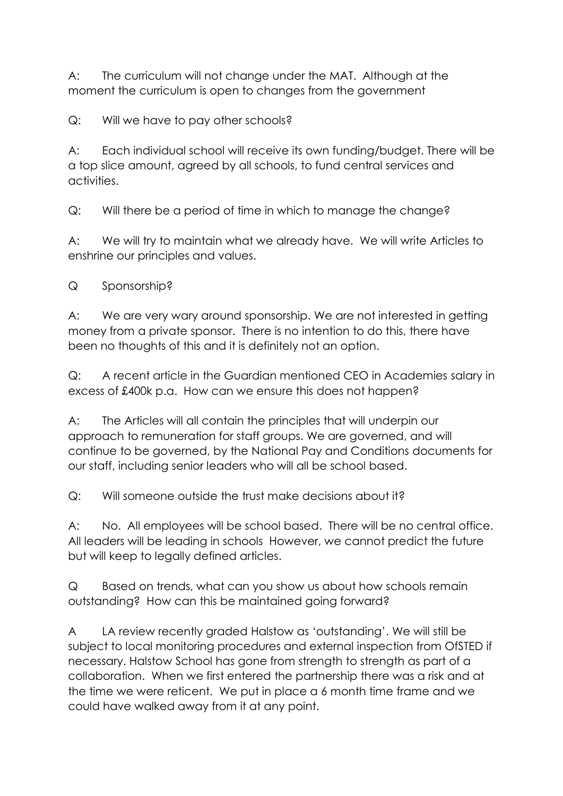A: The curriculum will not change under the MAT. Although at the moment the curriculum is open to changes from the government

Q: Will we have to pay other schools?

A: Each individual school will receive its own funding/budget. There will be a top slice amount, agreed by all schools, to fund central services and activities.

Q: Will there be a period of time in which to manage the change?

A: We will try to maintain what we already have. We will write Articles to enshrine our principles and values.

Q Sponsorship?

A: We are very wary around sponsorship. We are not interested in getting money from a private sponsor. There is no intention to do this, there have been no thoughts of this and it is definitely not an option.

Q: A recent article in the Guardian mentioned CEO in Academies salary in excess of £400k p.a. How can we ensure this does not happen?

A: The Articles will all contain the principles that will underpin our approach to remuneration for staff groups. We are governed, and will continue to be governed, by the National Pay and Conditions documents for our staff, including senior leaders who will all be school based.

Q: Will someone outside the trust make decisions about it?

A: No. All employees will be school based. There will be no central office. All leaders will be leading in schools However, we cannot predict the future but will keep to legally defined articles.

Q Based on trends, what can you show us about how schools remain outstanding? How can this be maintained going forward?

A LA review recently graded Halstow as 'outstanding'. We will still be subject to local monitoring procedures and external inspection from OfSTED if necessary. Halstow School has gone from strength to strength as part of a collaboration. When we first entered the partnership there was a risk and at the time we were reticent. We put in place a 6 month time frame and we could have walked away from it at any point.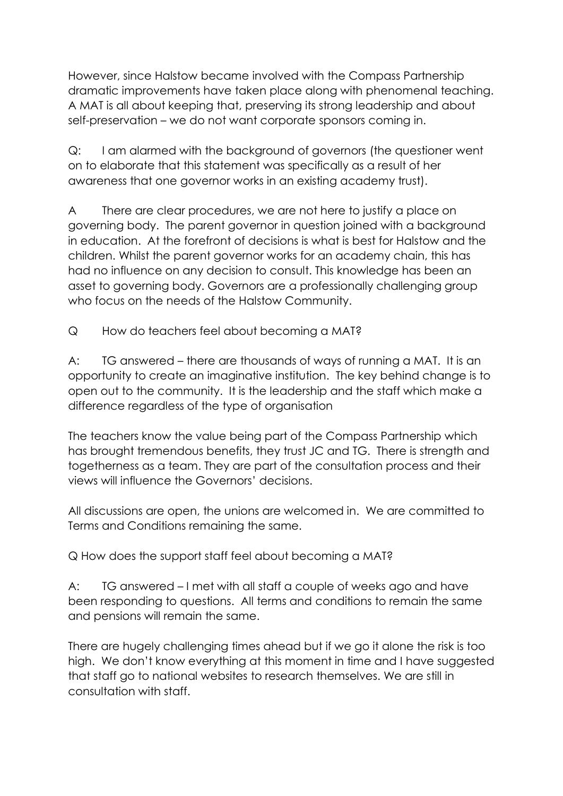However, since Halstow became involved with the Compass Partnership dramatic improvements have taken place along with phenomenal teaching. A MAT is all about keeping that, preserving its strong leadership and about self-preservation – we do not want corporate sponsors coming in.

Q: I am alarmed with the background of governors (the questioner went on to elaborate that this statement was specifically as a result of her awareness that one governor works in an existing academy trust).

A There are clear procedures, we are not here to justify a place on governing body. The parent governor in question joined with a background in education. At the forefront of decisions is what is best for Halstow and the children. Whilst the parent governor works for an academy chain, this has had no influence on any decision to consult. This knowledge has been an asset to governing body. Governors are a professionally challenging group who focus on the needs of the Halstow Community.

Q How do teachers feel about becoming a MAT?

A: TG answered – there are thousands of ways of running a MAT. It is an opportunity to create an imaginative institution. The key behind change is to open out to the community. It is the leadership and the staff which make a difference regardless of the type of organisation

The teachers know the value being part of the Compass Partnership which has brought tremendous benefits, they trust JC and TG. There is strength and togetherness as a team. They are part of the consultation process and their views will influence the Governors' decisions.

All discussions are open, the unions are welcomed in. We are committed to Terms and Conditions remaining the same.

Q How does the support staff feel about becoming a MAT?

A: TG answered – I met with all staff a couple of weeks ago and have been responding to questions. All terms and conditions to remain the same and pensions will remain the same.

There are hugely challenging times ahead but if we go it alone the risk is too high. We don't know everything at this moment in time and I have suggested that staff go to national websites to research themselves. We are still in consultation with staff.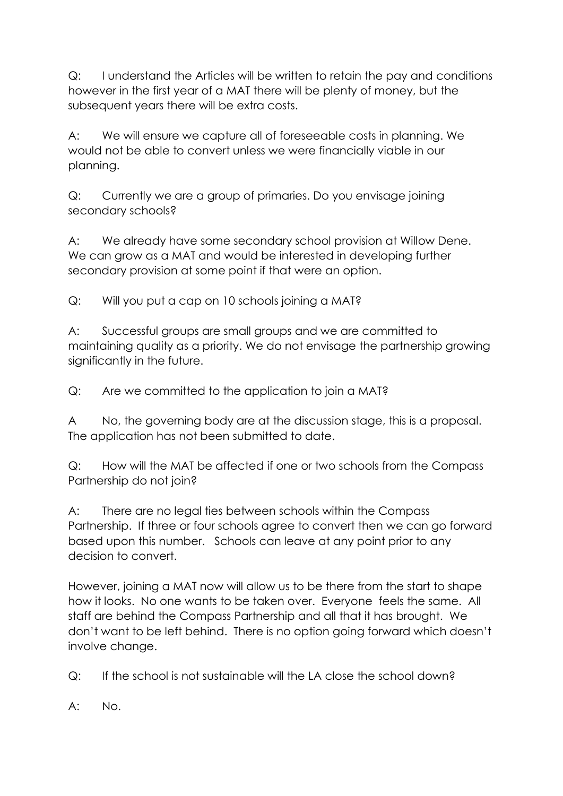Q: I understand the Articles will be written to retain the pay and conditions however in the first year of a MAT there will be plenty of money, but the subsequent years there will be extra costs.

A: We will ensure we capture all of foreseeable costs in planning. We would not be able to convert unless we were financially viable in our planning.

Q: Currently we are a group of primaries. Do you envisage joining secondary schools?

A: We already have some secondary school provision at Willow Dene. We can grow as a MAT and would be interested in developing further secondary provision at some point if that were an option.

Q: Will you put a cap on 10 schools joining a MAT?

A: Successful groups are small groups and we are committed to maintaining quality as a priority. We do not envisage the partnership growing significantly in the future.

Q: Are we committed to the application to join a MAT?

A No, the governing body are at the discussion stage, this is a proposal. The application has not been submitted to date.

Q: How will the MAT be affected if one or two schools from the Compass Partnership do not join?

A: There are no legal ties between schools within the Compass Partnership. If three or four schools agree to convert then we can go forward based upon this number. Schools can leave at any point prior to any decision to convert.

However, joining a MAT now will allow us to be there from the start to shape how it looks. No one wants to be taken over. Everyone feels the same. All staff are behind the Compass Partnership and all that it has brought. We don't want to be left behind. There is no option going forward which doesn't involve change.

Q: If the school is not sustainable will the LA close the school down?

A: No.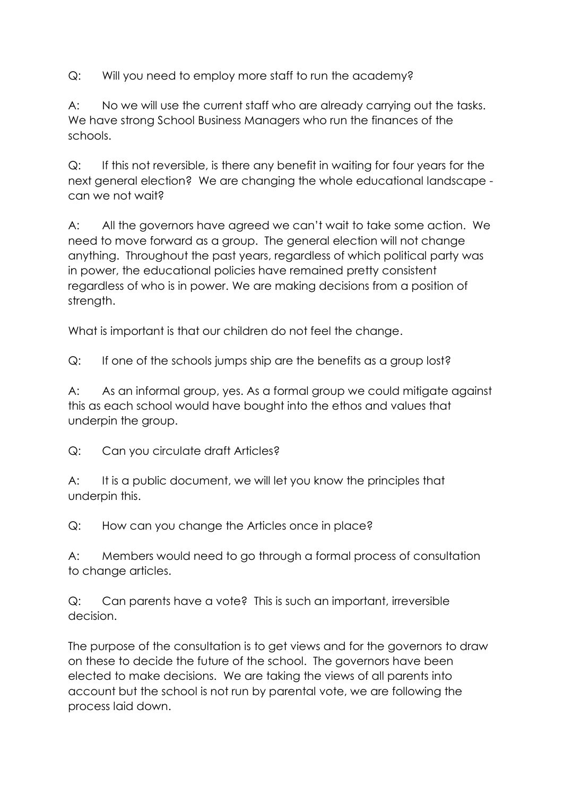Q: Will you need to employ more staff to run the academy?

A: No we will use the current staff who are already carrying out the tasks. We have strong School Business Managers who run the finances of the schools.

Q: If this not reversible, is there any benefit in waiting for four years for the next general election? We are changing the whole educational landscape can we not wait?

A: All the governors have agreed we can't wait to take some action. We need to move forward as a group. The general election will not change anything. Throughout the past years, regardless of which political party was in power, the educational policies have remained pretty consistent regardless of who is in power. We are making decisions from a position of strength.

What is important is that our children do not feel the change.

Q: If one of the schools jumps ship are the benefits as a group lost?

A: As an informal group, yes. As a formal group we could mitigate against this as each school would have bought into the ethos and values that underpin the group.

Q: Can you circulate draft Articles?

A: It is a public document, we will let you know the principles that underpin this.

Q: How can you change the Articles once in place?

A: Members would need to go through a formal process of consultation to change articles.

Q: Can parents have a vote? This is such an important, irreversible decision.

The purpose of the consultation is to get views and for the governors to draw on these to decide the future of the school. The governors have been elected to make decisions. We are taking the views of all parents into account but the school is not run by parental vote, we are following the process laid down.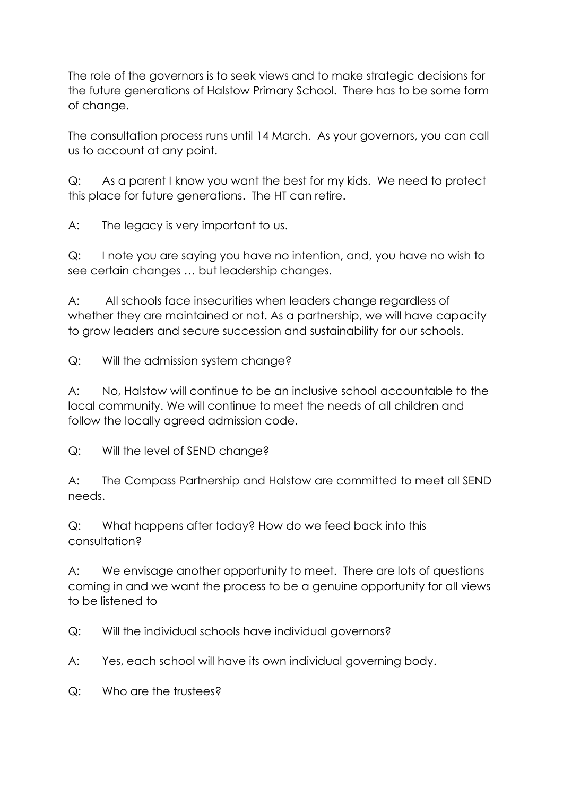The role of the governors is to seek views and to make strategic decisions for the future generations of Halstow Primary School. There has to be some form of change.

The consultation process runs until 14 March. As your governors, you can call us to account at any point.

Q: As a parent I know you want the best for my kids. We need to protect this place for future generations. The HT can retire.

A: The legacy is very important to us.

Q: I note you are saying you have no intention, and, you have no wish to see certain changes … but leadership changes.

A: All schools face insecurities when leaders change regardless of whether they are maintained or not. As a partnership, we will have capacity to grow leaders and secure succession and sustainability for our schools.

Q: Will the admission system change?

A: No, Halstow will continue to be an inclusive school accountable to the local community. We will continue to meet the needs of all children and follow the locally agreed admission code.

Q: Will the level of SEND change?

A: The Compass Partnership and Halstow are committed to meet all SEND needs.

Q: What happens after today? How do we feed back into this consultation?

A: We envisage another opportunity to meet. There are lots of questions coming in and we want the process to be a genuine opportunity for all views to be listened to

Q: Will the individual schools have individual governors?

A: Yes, each school will have its own individual governing body.

Q: Who are the trustees?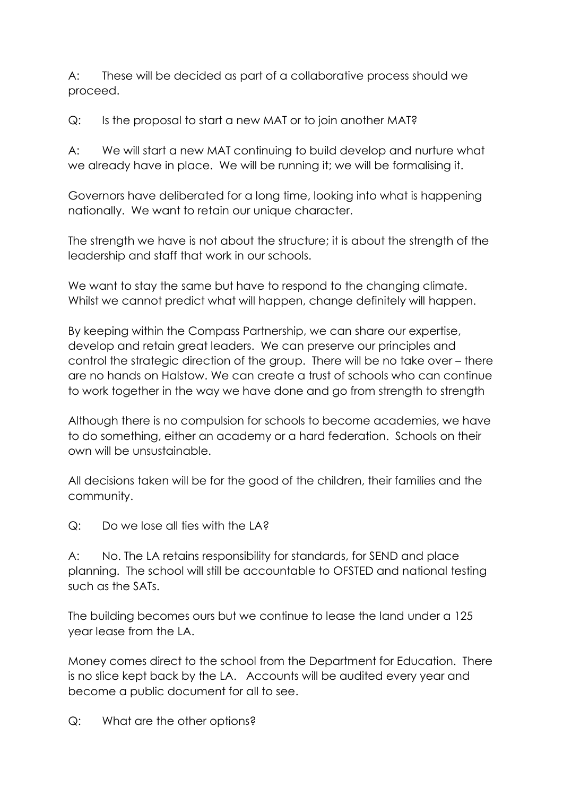A: These will be decided as part of a collaborative process should we proceed.

Q: Is the proposal to start a new MAT or to join another MAT?

A: We will start a new MAT continuing to build develop and nurture what we already have in place. We will be running it; we will be formalising it.

Governors have deliberated for a long time, looking into what is happening nationally. We want to retain our unique character.

The strength we have is not about the structure; it is about the strength of the leadership and staff that work in our schools.

We want to stay the same but have to respond to the changing climate. Whilst we cannot predict what will happen, change definitely will happen.

By keeping within the Compass Partnership, we can share our expertise, develop and retain great leaders. We can preserve our principles and control the strategic direction of the group. There will be no take over – there are no hands on Halstow. We can create a trust of schools who can continue to work together in the way we have done and go from strength to strength

Although there is no compulsion for schools to become academies, we have to do something, either an academy or a hard federation. Schools on their own will be unsustainable.

All decisions taken will be for the good of the children, their families and the community.

Q: Do we lose all ties with the LA?

A: No. The LA retains responsibility for standards, for SEND and place planning. The school will still be accountable to OFSTED and national testing such as the SATs.

The building becomes ours but we continue to lease the land under a 125 year lease from the LA.

Money comes direct to the school from the Department for Education. There is no slice kept back by the LA. Accounts will be audited every year and become a public document for all to see.

Q: What are the other options?